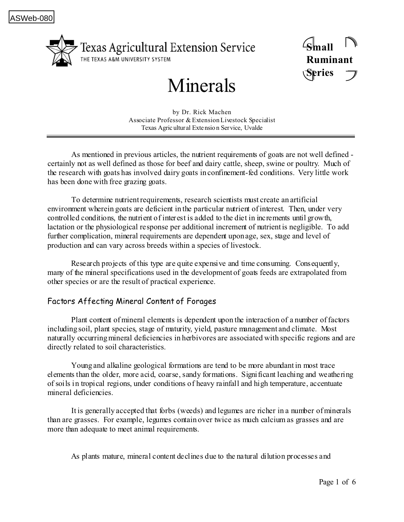

**Small Ruminant Series**

# Minerals

by Dr. Rick Machen Associate Professor & Extension Livestock Specialist Texas Agric ultur al Extensio n Service, Uvalde

As mentioned in previous articles, the nutrient requirements of goats are not well defined certainly not as well defined as those for beef and dairy cattle, sheep, swine or poultry. Much of the research with goats has involved dairy goats in confinement-fed conditions. Very little work has been done with free grazing goats.

To determine nutrient requirements, research scientists must create an artificial environment wherein goats are deficient in the particular nutrient of interest. Then, under very controlled conditions, the nutrient of interest is added to the diet in increments until growth, lactation or the physiological response per additional increment of nutrient is negligible. To add further complication, mineral requirements are dependent upon age, sex, stage and level of production and can vary across breeds within a species of livestock.

Research projects of this type are quite expensive and time consuming. Consequently, many of the mineral specifications used in the development of goats feeds are extrapolated from other species or are the result of practical experience.

## Factors Affecting Mineral Content of Forages

Plant content of mineral elements is dependent upon the interaction of a number of factors including soil, plant species, stage of maturity, yield, pasture management and climate. Most naturally occurring mineral deficiencies in herbivores are associated with specific regions and are directly related to soil characteristics.

Young and alkaline geological formations are tend to be more abundant in most trace elements than the older, more acid, coarse, sandy formations. Significant leaching and weathering of soils in tropical regions, under conditions of heavy rainfall and high temperature, accentuate mineral deficiencies.

It is generally accepted that forbs (weeds) and legumes are richer in a number of minerals than are grasses. For example, legumes contain over twice as much calcium as grasses and are more than adequate to meet animal requirements.

As plants mature, mineral content declines due to the natural dilution processes and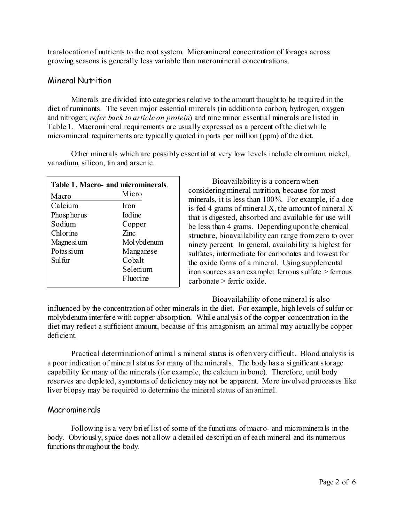translocation of nutrients to the root system. Micromineral concentration of forages across growing seasons is generally less variable than macromineral concentrations.

## Mineral Nutrition

 Minerals are divided into categories relative to the amount thought to be required in the diet of ruminants. The seven major essential minerals (in addition to carbon, hydrogen, oxygen and nitrogen; *refer back to article on protein*) and nine minor essential minerals are listed in Table 1. Macromineral requirements are usually expressed as a percent of the diet while micromineral requirements are typically quoted in parts per million (ppm) of the diet.

 Other minerals which are possibly essential at very low levels include chromium, nickel, vanadium, silicon, tin and arsenic.

| Table 1. Macro- and microminerals. |                 |  |
|------------------------------------|-----------------|--|
| Macro                              | Micro           |  |
| Calcium                            | Iron            |  |
| Phosphorus                         | <b>I</b> od ine |  |
| Sodium                             | Copper          |  |
| Chlorine                           | Zinc            |  |
| Magne si um                        | Mol ybdenum     |  |
| Potas si um                        | Manganese       |  |
| Sul fur                            | Cobalt          |  |
|                                    | Selenium        |  |
|                                    | Fluorine        |  |

Bioavailability is a concern when considering mineral nutrition, because for most minerals, it is less than 100%. For example, if a doe is fed 4 grams of mineral X, the amount of mineral X that is digested, absorbed and available for use will be less than 4 grams. Depending upon the chemical structure, bioavailability can range from zero to over ninety percent. In general, availability is highest for sulfates, intermediate for carbonates and lowest for the oxide forms of a mineral. Using supplemental iron sources as an example: ferrous sulfate > ferrous carbonate > ferric oxide.

Bioavailability of one mineral is also influenced by the concentration of other minerals in the diet. For example, high levels of sulfur or molybdenum interfere with copper absorption. While analysis of the copper concentration in the diet may reflect a sufficient amount, because of this antagonism, an animal may actually be copper deficient.

Practical determination of animal s mineral status is often very difficult. Blood analysis is a poor indication of mineral status for many of the minerals. The body has a significant storage capability for many of the minerals (for example, the calcium in bone). Therefore, until body reserves are depleted, symptoms of deficiency may not be apparent. More involved processes like liver biopsy may be required to determine the mineral status of an animal.

## Macrominerals

Following is a very brief list of some of the functions of macro- and microminerals in the body. Obviously, space does not allow a detailed description of each mineral and its numerous functions throughout the body.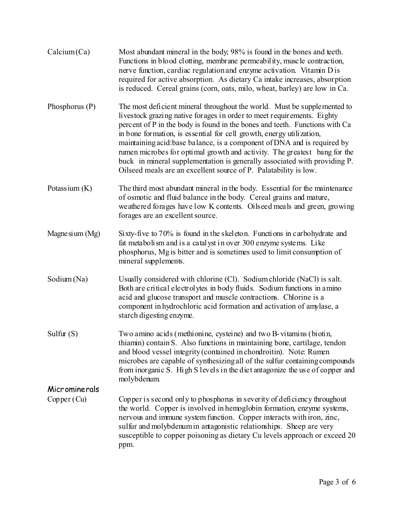| Calcium(Ca)      | Most abundant mineral in the body, 98% is found in the bones and teeth.<br>Functions in blood clotting, membrane permeability, muscle contraction,<br>nerve function, cardiac regulation and enzyme activation. Vitamin D is<br>required for active absorption. As dietary Ca intake increases, absorption<br>is reduced. Cereal grains (corn, oats, milo, wheat, barley) are low in Ca.                                                                                                                                                                                                                             |
|------------------|----------------------------------------------------------------------------------------------------------------------------------------------------------------------------------------------------------------------------------------------------------------------------------------------------------------------------------------------------------------------------------------------------------------------------------------------------------------------------------------------------------------------------------------------------------------------------------------------------------------------|
| Phosphorus $(P)$ | The most deficient mineral throughout the world. Must be supplemented to<br>livestock grazing native for ages in order to meet requirements. Eighty<br>percent of P in the body is found in the bones and teeth. Functions with Ca<br>in bone formation, is essential for cell growth, energy utilization,<br>maintaining acid: base balance, is a component of DNA and is required by<br>rumen microbes for optimal growth and activity. The greatest bang for the<br>buck in mineral supplementation is generally associated with providing P.<br>Oilseed meals are an excellent source of P. Palatability is low. |
| Potassium $(K)$  | The third most abundant mineral in the body. Essential for the maintenance<br>of osmotic and fluid balance in the body. Cereal grains and mature,<br>weathered forages have low K contents. Oilseed meals and green, growing<br>forages are an excellent source.                                                                                                                                                                                                                                                                                                                                                     |
| Magnesium (Mg)   | Sixty-five to 70% is found in the skeleton. Functions in carbohydrate and<br>fat metabolism and is a catalyst in over 300 enzyme systems. Like<br>phosphorus, Mg is bitter and is sometimes used to limit consumption of<br>mineral supplements.                                                                                                                                                                                                                                                                                                                                                                     |
| Sodium (Na)      | Usually considered with chlorine (Cl). Sodium chloride (NaCl) is salt.<br>Both are critical electrolytes in body fluids. Sodium functions in a mino<br>acid and glucose transport and muscle contractions. Chlorine is a<br>component in hydrochloric acid formation and activation of amylase, a<br>starch digesting enzyme.                                                                                                                                                                                                                                                                                        |
| Sulfur $(S)$     | Two amino acids (methionine, cysteine) and two B-vitamins (biotin,<br>thiamin) contain S. Also functions in maintaining bone, cartilage, tendon<br>and blood vessel integrity (contained in chondroitin). Note: Rumen<br>microbes are capable of synthesizing all of the sulfur containing compounds<br>from inorganic S. High S levels in the diet antagonize the use of copper and<br>molybdenum.                                                                                                                                                                                                                  |
| Microminerals    |                                                                                                                                                                                                                                                                                                                                                                                                                                                                                                                                                                                                                      |
| Copper (Cu)      | Copper is second only to phosphorus in severity of deficiency throughout<br>the world. Copper is involved in hemoglobin formation, enzyme systems,<br>nervous and immune system function. Copper interacts with iron, zinc,<br>sulfur and molybdenum in antagonistic relationships. Sheep are very<br>susceptible to copper poisoning as dietary Cu levels approach or exceed 20<br>ppm.                                                                                                                                                                                                                             |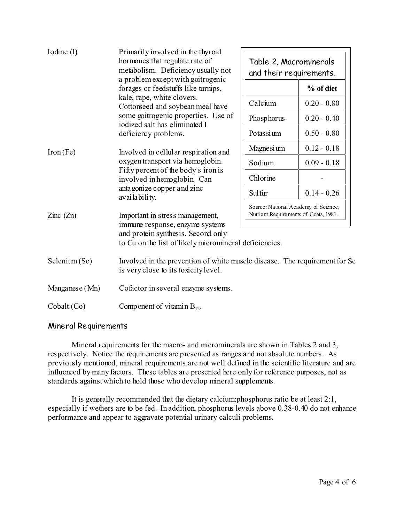| Iodine (I)                                                  | Primarily involved in the thyroid<br>hormones that regulate rate of<br>metabolism. Deficiency usually not<br>a problem except with goitrogenic<br>forages or feedstuffs like turnips,<br>kale, rape, white clovers.<br>Cottonseed and soybean meal have<br>some goitrogenic properties. Use of<br>iodized salt has eliminated I<br>deficiency problems. | Table 2. Macrominerals<br>and their requirements.                             |               |  |  |
|-------------------------------------------------------------|---------------------------------------------------------------------------------------------------------------------------------------------------------------------------------------------------------------------------------------------------------------------------------------------------------------------------------------------------------|-------------------------------------------------------------------------------|---------------|--|--|
|                                                             |                                                                                                                                                                                                                                                                                                                                                         |                                                                               | % of diet     |  |  |
|                                                             |                                                                                                                                                                                                                                                                                                                                                         | Calcium                                                                       | $0.20 - 0.80$ |  |  |
|                                                             |                                                                                                                                                                                                                                                                                                                                                         | Phosphorus                                                                    | $0.20 - 0.40$ |  |  |
|                                                             |                                                                                                                                                                                                                                                                                                                                                         | Potas si um                                                                   | $0.50 - 0.80$ |  |  |
| Iron(Fe)                                                    | Involved in cellular respiration and<br>oxygen transport via hemoglobin.<br>Fifty percent of the body s iron is<br>involved in hemoglobin. Can<br>anta gonize copper and zinc<br>availability.                                                                                                                                                          | Magne si um                                                                   | $0.12 - 0.18$ |  |  |
|                                                             |                                                                                                                                                                                                                                                                                                                                                         | Sodium                                                                        | $0.09 - 0.18$ |  |  |
|                                                             |                                                                                                                                                                                                                                                                                                                                                         | Chlorine                                                                      |               |  |  |
|                                                             |                                                                                                                                                                                                                                                                                                                                                         | Sul fur                                                                       | $0.14 - 0.26$ |  |  |
| Important in stress management,<br>$\text{Zinc}(\text{Zn})$ |                                                                                                                                                                                                                                                                                                                                                         | Source: National Academy of Science,<br>Nutrient Requirements of Goats, 1981. |               |  |  |
|                                                             | immune response, enzyme systems<br>and protein synthesis. Second only<br>to Cu on the list of likely micromineral deficiencies.                                                                                                                                                                                                                         |                                                                               |               |  |  |
| Selenium (Se)                                               | Involved in the prevention of white muscle disease. The requirement for Se<br>is very close to its toxicity level.                                                                                                                                                                                                                                      |                                                                               |               |  |  |
| Manganese (Mn)                                              | Cofactor in several enzyme systems.                                                                                                                                                                                                                                                                                                                     |                                                                               |               |  |  |
| Cobalt (Co)                                                 | Component of vitamin $B_{12}$ .                                                                                                                                                                                                                                                                                                                         |                                                                               |               |  |  |

#### Mineral Requirements

Mineral requirements for the macro- and microminerals are shown in Tables 2 and 3, respectively. Notice the requirements are presented as ranges and not absolute numbers. As previously mentioned, mineral requirements are not well defined in the scientific literature and are influenced by many factors. These tables are presented here only for reference purposes, not as standards against which to hold those who develop mineral supplements.

It is generally recommended that the dietary calcium:phosphorus ratio be at least 2:1, especially if wethers are to be fed. In addition, phosphorus levels above 0.38-0.40 do not enhance performance and appear to aggravate potential urinary calculi problems.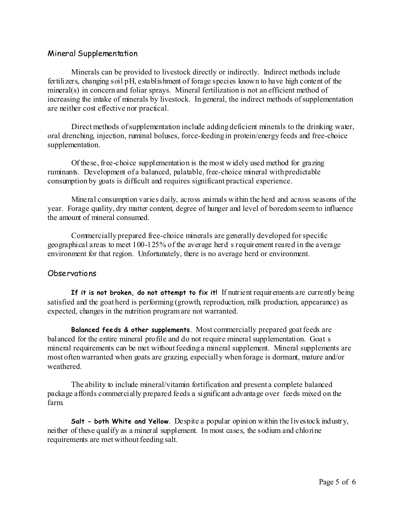## Mineral Supplementation

Minerals can be provided to livestock directly or indirectly. Indirect methods include fertilizers, changing soil pH, establishment of forage species known to have high content of the mineral(s) in concern and foliar sprays. Mineral fertilization is not an efficient method of increasing the intake of minerals by livestock. In general, the indirect methods of supplementation are neither cost effective nor practical.

Direct methods of supplementation include adding deficient minerals to the drinking water, oral drenching, injection, ruminal boluses, force-feeding in protein/energy feeds and free-choice supplementation.

Of these, free-choice supplementation is the most widely used method for grazing ruminants. Development of a balanced, palatable, free-choice mineral with predictable consumption by goats is difficult and requires significant practical experience.

Mineral consumption varies daily, across animals within the herd and across seasons of the year. Forage quality, dry matter content, degree of hunger and level of boredom seem to influence the amount of mineral consumed.

Commercially prepared free-choice minerals are generally developed for specific geographical areas to meet 100-125% of the average herd s requirement reared in the average environment for that region. Unfortunately, there is no average herd or environment.

#### Observations

**If it is not broken, do not attempt to fix it!** If nutrient requirements are currently being satisfied and the goat herd is performing (growth, reproduction, milk production, appearance) as expected, changes in the nutrition program are not warranted.

**Balanced feeds & other supplements**. Most commercially prepared goat feeds are balanced for the entire mineral profile and do not require mineral supplementation. Goat s mineral requirements can be met without feeding a mineral supplement. Mineral supplements are most often warranted when goats are grazing, especially when forage is dormant, mature and/or weathered.

The ability to include mineral/vitamin fortification and present a complete balanced package affords commercially prepared feeds a significant advantage over feeds mixed on the farm.

**Salt - both White and Yellow**. Despite a popular opinion within the livestock industry, neither of these qualify as a mineral supplement. In most cases, the sodium and chlorine requirements are met without feeding salt.